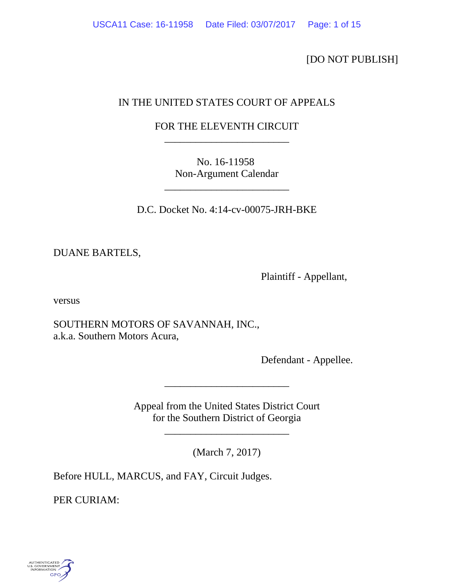[DO NOT PUBLISH]

# IN THE UNITED STATES COURT OF APPEALS

# FOR THE ELEVENTH CIRCUIT \_\_\_\_\_\_\_\_\_\_\_\_\_\_\_\_\_\_\_\_\_\_\_\_

No. 16-11958 Non-Argument Calendar

D.C. Docket No. 4:14-cv-00075-JRH-BKE

\_\_\_\_\_\_\_\_\_\_\_\_\_\_\_\_\_\_\_\_\_\_\_\_

DUANE BARTELS,

Plaintiff - Appellant,

versus

SOUTHERN MOTORS OF SAVANNAH, INC., a.k.a. Southern Motors Acura,

Defendant - Appellee.

Appeal from the United States District Court for the Southern District of Georgia

\_\_\_\_\_\_\_\_\_\_\_\_\_\_\_\_\_\_\_\_\_\_\_\_

(March 7, 2017)

\_\_\_\_\_\_\_\_\_\_\_\_\_\_\_\_\_\_\_\_\_\_\_\_

Before HULL, MARCUS, and FAY, Circuit Judges.

PER CURIAM:

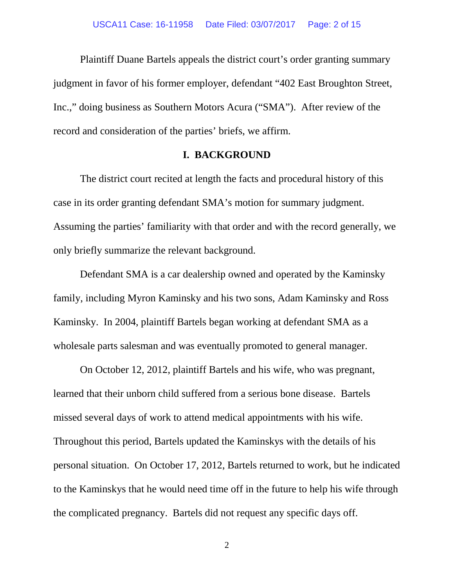Plaintiff Duane Bartels appeals the district court's order granting summary judgment in favor of his former employer, defendant "402 East Broughton Street, Inc.," doing business as Southern Motors Acura ("SMA"). After review of the record and consideration of the parties' briefs, we affirm.

## **I. BACKGROUND**

The district court recited at length the facts and procedural history of this case in its order granting defendant SMA's motion for summary judgment. Assuming the parties' familiarity with that order and with the record generally, we only briefly summarize the relevant background.

Defendant SMA is a car dealership owned and operated by the Kaminsky family, including Myron Kaminsky and his two sons, Adam Kaminsky and Ross Kaminsky. In 2004, plaintiff Bartels began working at defendant SMA as a wholesale parts salesman and was eventually promoted to general manager.

On October 12, 2012, plaintiff Bartels and his wife, who was pregnant, learned that their unborn child suffered from a serious bone disease. Bartels missed several days of work to attend medical appointments with his wife. Throughout this period, Bartels updated the Kaminskys with the details of his personal situation. On October 17, 2012, Bartels returned to work, but he indicated to the Kaminskys that he would need time off in the future to help his wife through the complicated pregnancy. Bartels did not request any specific days off.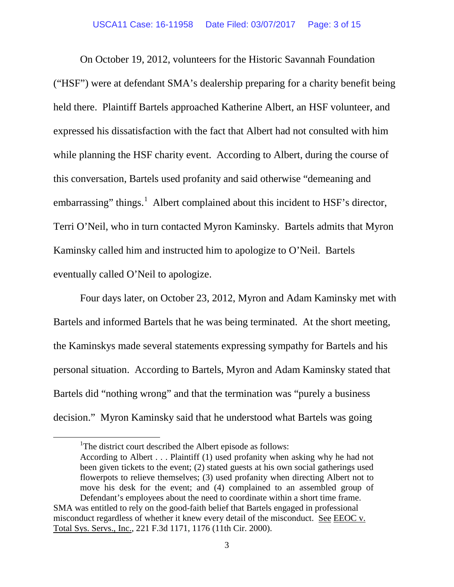On October 19, 2012, volunteers for the Historic Savannah Foundation ("HSF") were at defendant SMA's dealership preparing for a charity benefit being held there. Plaintiff Bartels approached Katherine Albert, an HSF volunteer, and expressed his dissatisfaction with the fact that Albert had not consulted with him while planning the HSF charity event. According to Albert, during the course of this conversation, Bartels used profanity and said otherwise "demeaning and embarrassing" things.<sup>[1](#page-2-0)</sup> Albert complained about this incident to HSF's director, Terri O'Neil, who in turn contacted Myron Kaminsky. Bartels admits that Myron Kaminsky called him and instructed him to apologize to O'Neil. Bartels eventually called O'Neil to apologize.

Four days later, on October 23, 2012, Myron and Adam Kaminsky met with Bartels and informed Bartels that he was being terminated. At the short meeting, the Kaminskys made several statements expressing sympathy for Bartels and his personal situation. According to Bartels, Myron and Adam Kaminsky stated that Bartels did "nothing wrong" and that the termination was "purely a business decision." Myron Kaminsky said that he understood what Bartels was going

<span id="page-2-0"></span><sup>&</sup>lt;u>1</u> <sup>1</sup>The district court described the Albert episode as follows:

According to Albert . . . Plaintiff (1) used profanity when asking why he had not been given tickets to the event; (2) stated guests at his own social gatherings used flowerpots to relieve themselves; (3) used profanity when directing Albert not to move his desk for the event; and (4) complained to an assembled group of Defendant's employees about the need to coordinate within a short time frame.

SMA was entitled to rely on the good-faith belief that Bartels engaged in professional misconduct regardless of whether it knew every detail of the misconduct. See EEOC v. Total Sys. Servs., Inc., 221 F.3d 1171, 1176 (11th Cir. 2000).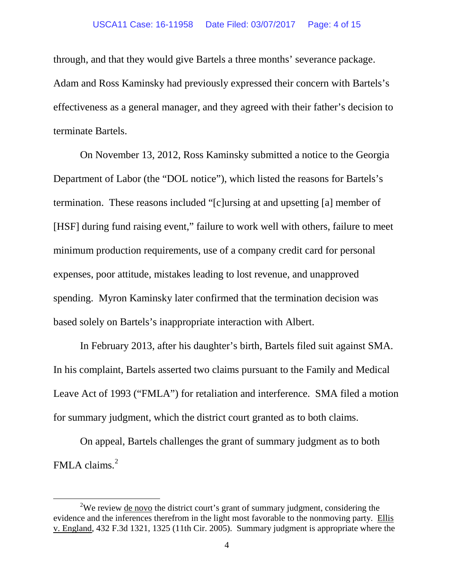#### USCA11 Case: 16-11958 Date Filed: 03/07/2017 Page: 4 of 15

through, and that they would give Bartels a three months' severance package. Adam and Ross Kaminsky had previously expressed their concern with Bartels's effectiveness as a general manager, and they agreed with their father's decision to terminate Bartels.

On November 13, 2012, Ross Kaminsky submitted a notice to the Georgia Department of Labor (the "DOL notice"), which listed the reasons for Bartels's termination. These reasons included "[c]ursing at and upsetting [a] member of [HSF] during fund raising event," failure to work well with others, failure to meet minimum production requirements, use of a company credit card for personal expenses, poor attitude, mistakes leading to lost revenue, and unapproved spending. Myron Kaminsky later confirmed that the termination decision was based solely on Bartels's inappropriate interaction with Albert.

In February 2013, after his daughter's birth, Bartels filed suit against SMA. In his complaint, Bartels asserted two claims pursuant to the Family and Medical Leave Act of 1993 ("FMLA") for retaliation and interference. SMA filed a motion for summary judgment, which the district court granted as to both claims.

On appeal, Bartels challenges the grant of summary judgment as to both FMLA claims.<sup>[2](#page-3-0)</sup>

<span id="page-3-0"></span> $\overline{\phantom{a}2}$ <sup>2</sup>We review de novo the district court's grant of summary judgment, considering the evidence and the inferences therefrom in the light most favorable to the nonmoving party. Ellis v. England, 432 F.3d 1321, 1325 (11th Cir. 2005). Summary judgment is appropriate where the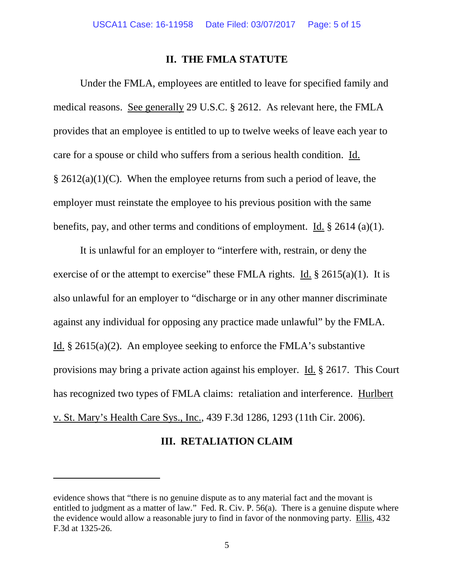### **II. THE FMLA STATUTE**

Under the FMLA, employees are entitled to leave for specified family and medical reasons. See generally 29 U.S.C. § 2612. As relevant here, the FMLA provides that an employee is entitled to up to twelve weeks of leave each year to care for a spouse or child who suffers from a serious health condition. Id.  $\S 2612(a)(1)(C)$ . When the employee returns from such a period of leave, the employer must reinstate the employee to his previous position with the same benefits, pay, and other terms and conditions of employment. Id. § 2614 (a)(1).

It is unlawful for an employer to "interfere with, restrain, or deny the exercise of or the attempt to exercise" these FMLA rights. Id.  $\S$  2615(a)(1). It is also unlawful for an employer to "discharge or in any other manner discriminate against any individual for opposing any practice made unlawful" by the FMLA. Id.  $\S 2615(a)(2)$ . An employee seeking to enforce the FMLA's substantive provisions may bring a private action against his employer. Id. § 2617. This Court has recognized two types of FMLA claims: retaliation and interference. Hurlbert v. St. Mary's Health Care Sys., Inc., 439 F.3d 1286, 1293 (11th Cir. 2006).

## **III. RETALIATION CLAIM**

 $\overline{a}$ 

evidence shows that "there is no genuine dispute as to any material fact and the movant is entitled to judgment as a matter of law." Fed. R. Civ. P. 56(a). There is a genuine dispute where the evidence would allow a reasonable jury to find in favor of the nonmoving party. Ellis, 432 F.3d at 1325-26.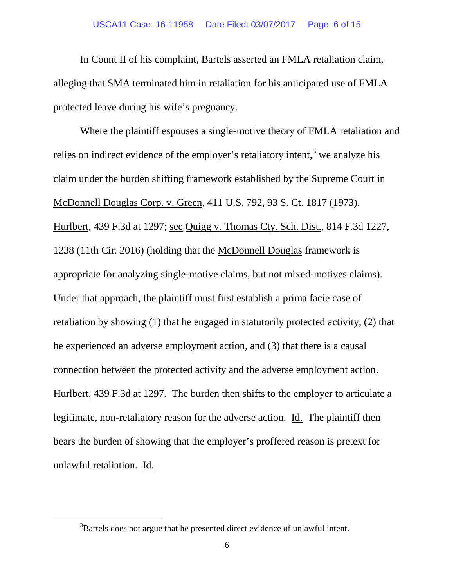#### USCA11 Case: 16-11958 Date Filed: 03/07/2017 Page: 6 of 15

In Count II of his complaint, Bartels asserted an FMLA retaliation claim, alleging that SMA terminated him in retaliation for his anticipated use of FMLA protected leave during his wife's pregnancy.

Where the plaintiff espouses a single-motive theory of FMLA retaliation and relies on indirect evidence of the employer's retaliatory intent,<sup>[3](#page-5-0)</sup> we analyze his claim under the burden shifting framework established by the Supreme Court in McDonnell Douglas Corp. v. Green, 411 U.S. 792, 93 S. Ct. 1817 (1973). Hurlbert, 439 F.3d at 1297; see Quigg v. Thomas Cty. Sch. Dist., 814 F.3d 1227, 1238 (11th Cir. 2016) (holding that the McDonnell Douglas framework is appropriate for analyzing single-motive claims, but not mixed-motives claims). Under that approach, the plaintiff must first establish a prima facie case of retaliation by showing (1) that he engaged in statutorily protected activity, (2) that he experienced an adverse employment action, and (3) that there is a causal connection between the protected activity and the adverse employment action. Hurlbert, 439 F.3d at 1297. The burden then shifts to the employer to articulate a legitimate, non-retaliatory reason for the adverse action. Id. The plaintiff then bears the burden of showing that the employer's proffered reason is pretext for unlawful retaliation. Id.

<span id="page-5-0"></span> $\frac{1}{3}$ <sup>3</sup>Bartels does not argue that he presented direct evidence of unlawful intent.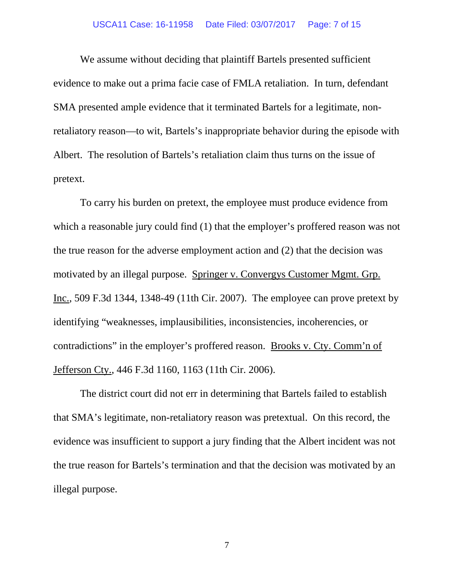#### USCA11 Case: 16-11958 Date Filed: 03/07/2017 Page: 7 of 15

We assume without deciding that plaintiff Bartels presented sufficient evidence to make out a prima facie case of FMLA retaliation. In turn, defendant SMA presented ample evidence that it terminated Bartels for a legitimate, nonretaliatory reason—to wit, Bartels's inappropriate behavior during the episode with Albert. The resolution of Bartels's retaliation claim thus turns on the issue of pretext.

To carry his burden on pretext, the employee must produce evidence from which a reasonable jury could find (1) that the employer's proffered reason was not the true reason for the adverse employment action and (2) that the decision was motivated by an illegal purpose. Springer v. Convergys Customer Mgmt. Grp. Inc., 509 F.3d 1344, 1348-49 (11th Cir. 2007). The employee can prove pretext by identifying "weaknesses, implausibilities, inconsistencies, incoherencies, or contradictions" in the employer's proffered reason. Brooks v. Cty. Comm'n of Jefferson Cty., 446 F.3d 1160, 1163 (11th Cir. 2006).

The district court did not err in determining that Bartels failed to establish that SMA's legitimate, non-retaliatory reason was pretextual. On this record, the evidence was insufficient to support a jury finding that the Albert incident was not the true reason for Bartels's termination and that the decision was motivated by an illegal purpose.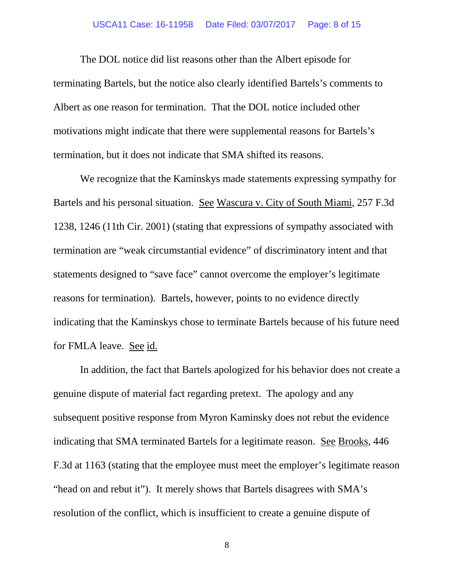#### USCA11 Case: 16-11958 Date Filed: 03/07/2017 Page: 8 of 15

The DOL notice did list reasons other than the Albert episode for terminating Bartels, but the notice also clearly identified Bartels's comments to Albert as one reason for termination. That the DOL notice included other motivations might indicate that there were supplemental reasons for Bartels's termination, but it does not indicate that SMA shifted its reasons.

We recognize that the Kaminskys made statements expressing sympathy for Bartels and his personal situation. See Wascura v. City of South Miami, 257 F.3d 1238, 1246 (11th Cir. 2001) (stating that expressions of sympathy associated with termination are "weak circumstantial evidence" of discriminatory intent and that statements designed to "save face" cannot overcome the employer's legitimate reasons for termination). Bartels, however, points to no evidence directly indicating that the Kaminskys chose to terminate Bartels because of his future need for FMLA leave. See id.

In addition, the fact that Bartels apologized for his behavior does not create a genuine dispute of material fact regarding pretext. The apology and any subsequent positive response from Myron Kaminsky does not rebut the evidence indicating that SMA terminated Bartels for a legitimate reason. See Brooks, 446 F.3d at 1163 (stating that the employee must meet the employer's legitimate reason "head on and rebut it"). It merely shows that Bartels disagrees with SMA's resolution of the conflict, which is insufficient to create a genuine dispute of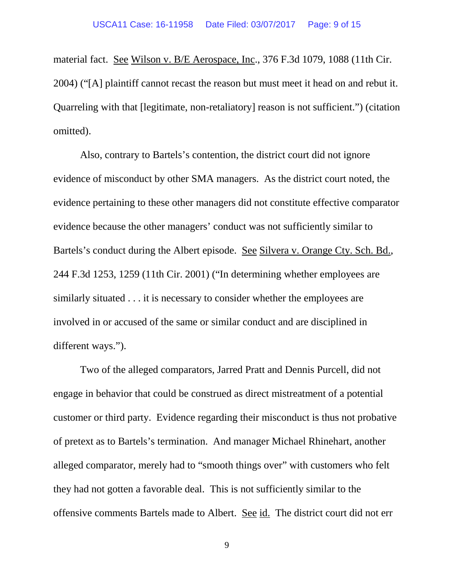material fact. See Wilson v. B/E Aerospace, Inc., 376 F.3d 1079, 1088 (11th Cir. 2004) ("[A] plaintiff cannot recast the reason but must meet it head on and rebut it. Quarreling with that [legitimate, non-retaliatory] reason is not sufficient.") (citation omitted).

Also, contrary to Bartels's contention, the district court did not ignore evidence of misconduct by other SMA managers. As the district court noted, the evidence pertaining to these other managers did not constitute effective comparator evidence because the other managers' conduct was not sufficiently similar to Bartels's conduct during the Albert episode. See Silvera v. Orange Cty. Sch. Bd., 244 F.3d 1253, 1259 (11th Cir. 2001) ("In determining whether employees are similarly situated . . . it is necessary to consider whether the employees are involved in or accused of the same or similar conduct and are disciplined in different ways.").

Two of the alleged comparators, Jarred Pratt and Dennis Purcell, did not engage in behavior that could be construed as direct mistreatment of a potential customer or third party. Evidence regarding their misconduct is thus not probative of pretext as to Bartels's termination. And manager Michael Rhinehart, another alleged comparator, merely had to "smooth things over" with customers who felt they had not gotten a favorable deal. This is not sufficiently similar to the offensive comments Bartels made to Albert. See id. The district court did not err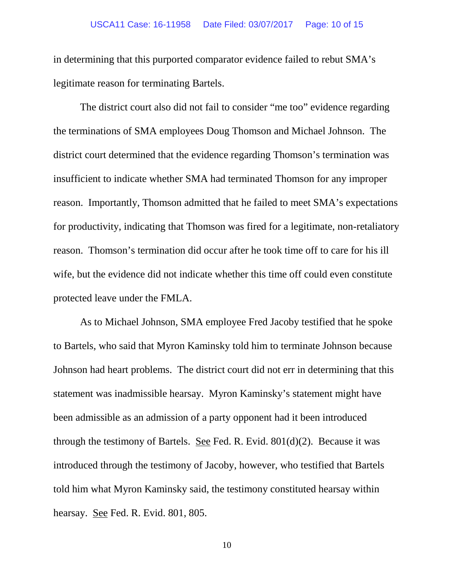#### USCA11 Case: 16-11958 Date Filed: 03/07/2017 Page: 10 of 15

in determining that this purported comparator evidence failed to rebut SMA's legitimate reason for terminating Bartels.

The district court also did not fail to consider "me too" evidence regarding the terminations of SMA employees Doug Thomson and Michael Johnson. The district court determined that the evidence regarding Thomson's termination was insufficient to indicate whether SMA had terminated Thomson for any improper reason. Importantly, Thomson admitted that he failed to meet SMA's expectations for productivity, indicating that Thomson was fired for a legitimate, non-retaliatory reason.Thomson's termination did occur after he took time off to care for his ill wife, but the evidence did not indicate whether this time off could even constitute protected leave under the FMLA.

As to Michael Johnson, SMA employee Fred Jacoby testified that he spoke to Bartels, who said that Myron Kaminsky told him to terminate Johnson because Johnson had heart problems. The district court did not err in determining that this statement was inadmissible hearsay. Myron Kaminsky's statement might have been admissible as an admission of a party opponent had it been introduced through the testimony of Bartels. See Fed. R. Evid.  $801(d)(2)$ . Because it was introduced through the testimony of Jacoby, however, who testified that Bartels told him what Myron Kaminsky said, the testimony constituted hearsay within hearsay. <u>See</u> Fed. R. Evid. 801, 805.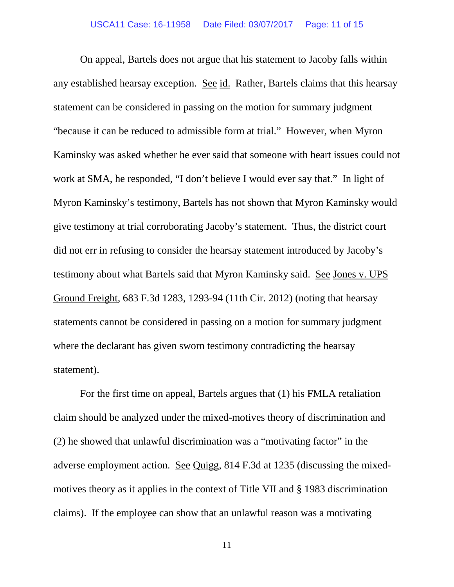On appeal, Bartels does not argue that his statement to Jacoby falls within any established hearsay exception. See id. Rather, Bartels claims that this hearsay statement can be considered in passing on the motion for summary judgment "because it can be reduced to admissible form at trial." However, when Myron Kaminsky was asked whether he ever said that someone with heart issues could not work at SMA, he responded, "I don't believe I would ever say that." In light of Myron Kaminsky's testimony, Bartels has not shown that Myron Kaminsky would give testimony at trial corroborating Jacoby's statement. Thus, the district court did not err in refusing to consider the hearsay statement introduced by Jacoby's testimony about what Bartels said that Myron Kaminsky said. See Jones v. UPS Ground Freight, 683 F.3d 1283, 1293-94 (11th Cir. 2012) (noting that hearsay statements cannot be considered in passing on a motion for summary judgment where the declarant has given sworn testimony contradicting the hearsay statement).

For the first time on appeal, Bartels argues that (1) his FMLA retaliation claim should be analyzed under the mixed-motives theory of discrimination and (2) he showed that unlawful discrimination was a "motivating factor" in the adverse employment action. See Quigg, 814 F.3d at 1235 (discussing the mixedmotives theory as it applies in the context of Title VII and § 1983 discrimination claims). If the employee can show that an unlawful reason was a motivating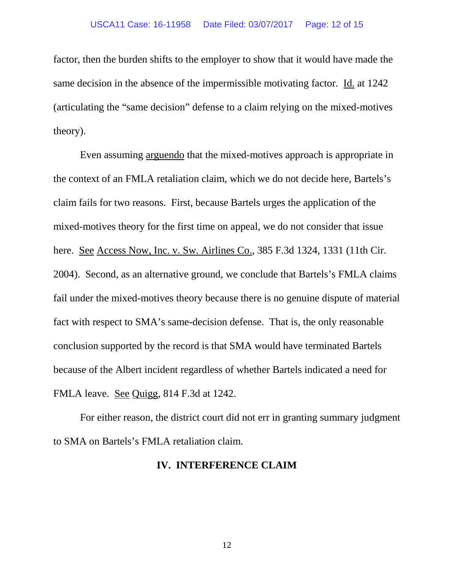factor, then the burden shifts to the employer to show that it would have made the same decision in the absence of the impermissible motivating factor. Id. at 1242 (articulating the "same decision" defense to a claim relying on the mixed-motives theory).

Even assuming arguendo that the mixed-motives approach is appropriate in the context of an FMLA retaliation claim, which we do not decide here, Bartels's claim fails for two reasons. First, because Bartels urges the application of the mixed-motives theory for the first time on appeal, we do not consider that issue here. See Access Now, Inc. v. Sw. Airlines Co., 385 F.3d 1324, 1331 (11th Cir. 2004). Second, as an alternative ground, we conclude that Bartels's FMLA claims fail under the mixed-motives theory because there is no genuine dispute of material fact with respect to SMA's same-decision defense. That is, the only reasonable conclusion supported by the record is that SMA would have terminated Bartels because of the Albert incident regardless of whether Bartels indicated a need for FMLA leave. See Quigg, 814 F.3d at 1242.

For either reason, the district court did not err in granting summary judgment to SMA on Bartels's FMLA retaliation claim.

## **IV. INTERFERENCE CLAIM**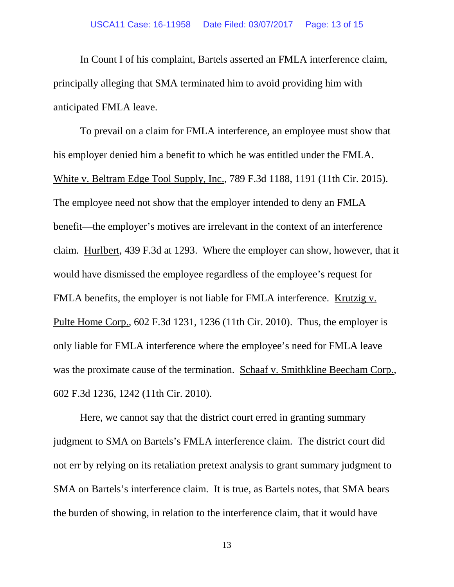In Count I of his complaint, Bartels asserted an FMLA interference claim, principally alleging that SMA terminated him to avoid providing him with anticipated FMLA leave.

To prevail on a claim for FMLA interference, an employee must show that his employer denied him a benefit to which he was entitled under the FMLA. White v. Beltram Edge Tool Supply, Inc., 789 F.3d 1188, 1191 (11th Cir. 2015). The employee need not show that the employer intended to deny an FMLA benefit—the employer's motives are irrelevant in the context of an interference claim. Hurlbert, 439 F.3d at 1293. Where the employer can show, however, that it would have dismissed the employee regardless of the employee's request for FMLA benefits, the employer is not liable for FMLA interference. Krutzig v. Pulte Home Corp., 602 F.3d 1231, 1236 (11th Cir. 2010). Thus, the employer is only liable for FMLA interference where the employee's need for FMLA leave was the proximate cause of the termination. Schaaf v. Smithkline Beecham Corp., 602 F.3d 1236, 1242 (11th Cir. 2010).

Here, we cannot say that the district court erred in granting summary judgment to SMA on Bartels's FMLA interference claim. The district court did not err by relying on its retaliation pretext analysis to grant summary judgment to SMA on Bartels's interference claim. It is true, as Bartels notes, that SMA bears the burden of showing, in relation to the interference claim, that it would have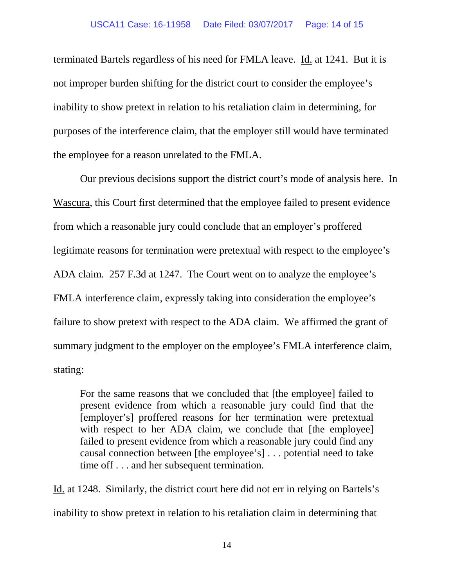terminated Bartels regardless of his need for FMLA leave. Id. at 1241. But it is not improper burden shifting for the district court to consider the employee's inability to show pretext in relation to his retaliation claim in determining, for purposes of the interference claim, that the employer still would have terminated the employee for a reason unrelated to the FMLA.

Our previous decisions support the district court's mode of analysis here. In Wascura, this Court first determined that the employee failed to present evidence from which a reasonable jury could conclude that an employer's proffered legitimate reasons for termination were pretextual with respect to the employee's ADA claim. 257 F.3d at 1247. The Court went on to analyze the employee's FMLA interference claim, expressly taking into consideration the employee's failure to show pretext with respect to the ADA claim. We affirmed the grant of summary judgment to the employer on the employee's FMLA interference claim, stating:

For the same reasons that we concluded that [the employee] failed to present evidence from which a reasonable jury could find that the [employer's] proffered reasons for her termination were pretextual with respect to her ADA claim, we conclude that [the employee] failed to present evidence from which a reasonable jury could find any causal connection between [the employee's] . . . potential need to take time off . . . and her subsequent termination.

Id. at 1248. Similarly, the district court here did not err in relying on Bartels's inability to show pretext in relation to his retaliation claim in determining that